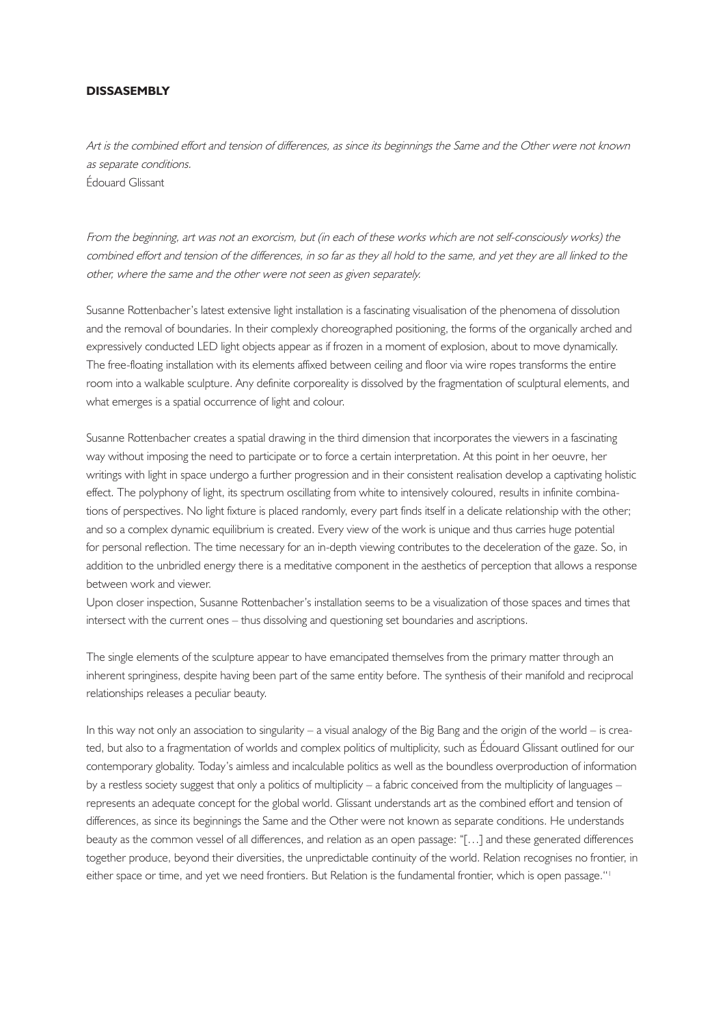## **DISSASEMBLY**

Art is the combined effort and tension of differences, as since its beginnings the Same and the Other were not known as separate conditions. Édouard Glissant

From the beginning, art was not an exorcism, but (in each of these works which are not self-consciously works) the combined effort and tension of the differences, in so far as they all hold to the same, and yet they are all linked to the other, where the same and the other were not seen as given separately.

Susanne Rottenbacher's latest extensive light installation is a fascinating visualisation of the phenomena of dissolution and the removal of boundaries. In their complexly choreographed positioning, the forms of the organically arched and expressively conducted LED light objects appear as if frozen in a moment of explosion, about to move dynamically. The free-floating installation with its elements affixed between ceiling and floor via wire ropes transforms the entire room into a walkable sculpture. Any definite corporeality is dissolved by the fragmentation of sculptural elements, and what emerges is a spatial occurrence of light and colour.

Susanne Rottenbacher creates a spatial drawing in the third dimension that incorporates the viewers in a fascinating way without imposing the need to participate or to force a certain interpretation. At this point in her oeuvre, her writings with light in space undergo a further progression and in their consistent realisation develop a captivating holistic effect. The polyphony of light, its spectrum oscillating from white to intensively coloured, results in infinite combinations of perspectives. No light fixture is placed randomly, every part finds itself in a delicate relationship with the other; and so a complex dynamic equilibrium is created. Every view of the work is unique and thus carries huge potential for personal reflection. The time necessary for an in-depth viewing contributes to the deceleration of the gaze. So, in addition to the unbridled energy there is a meditative component in the aesthetics of perception that allows a response between work and viewer.

Upon closer inspection, Susanne Rottenbacher's installation seems to be a visualization of those spaces and times that intersect with the current ones – thus dissolving and questioning set boundaries and ascriptions.

The single elements of the sculpture appear to have emancipated themselves from the primary matter through an inherent springiness, despite having been part of the same entity before. The synthesis of their manifold and reciprocal relationships releases a peculiar beauty.

In this way not only an association to singularity – a visual analogy of the Big Bang and the origin of the world – is created, but also to a fragmentation of worlds and complex politics of multiplicity, such as Édouard Glissant outlined for our contemporary globality. Today's aimless and incalculable politics as well as the boundless overproduction of information by a restless society suggest that only a politics of multiplicity – a fabric conceived from the multiplicity of languages – represents an adequate concept for the global world. Glissant understands art as the combined effort and tension of differences, as since its beginnings the Same and the Other were not known as separate conditions. He understands beauty as the common vessel of all differences, and relation as an open passage: "[…] and these generated differences together produce, beyond their diversities, the unpredictable continuity of the world. Relation recognises no frontier, in either space or time, and yet we need frontiers. But Relation is the fundamental frontier, which is open passage.''1